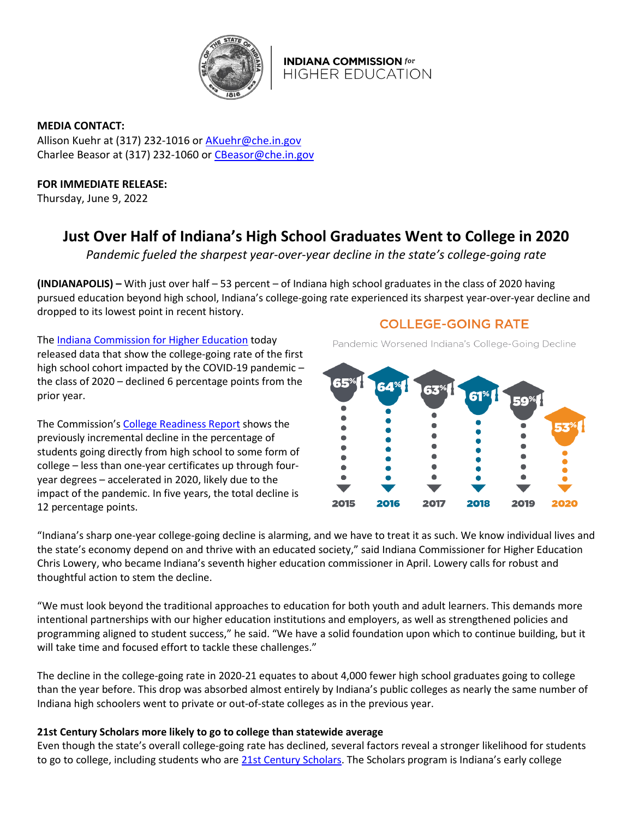

**INDIANA COMMISSION for HIGHER EDUCATION** 

**MEDIA CONTACT:**  Allison Kuehr at (317) 232-1016 or [AKuehr@che.in.gov](mailto:AKuehr@che.in.gov)  Charlee Beasor at (317) 232-1060 o[r CBeasor@che.in.gov](mailto:CBeasor@che.in.gov) 

# **FOR IMMEDIATE RELEASE:**

Thursday, June 9, 2022

# **Just Over Half of Indiana's High School Graduates Went to College in 2020**

*Pandemic fueled the sharpest year-over-year decline in the state's college-going rate*

**(INDIANAPOLIS) –** With just over half – 53 percent – of Indiana high school graduates in the class of 2020 having pursued education beyond high school, Indiana's college-going rate experienced its sharpest year-over-year decline and dropped to its lowest point in recent history.

The [Indiana Commission for Higher Education](http://www.che.in.gov/) today released data that show the college-going rate of the first high school cohort impacted by the COVID-19 pandemic – the class of 2020 – declined 6 percentage points from the prior year.

The Commission's [College Readiness Report](http://www.che.in.gov/readiness) shows the previously incremental decline in the percentage of students going directly from high school to some form of college – less than one-year certificates up through fouryear degrees – accelerated in 2020, likely due to the impact of the pandemic. In five years, the total decline is 12 percentage points.

**COLLEGE-GOING RATE** 





"Indiana's sharp one-year college-going decline is alarming, and we have to treat it as such. We know individual lives and the state's economy depend on and thrive with an educated society," said Indiana Commissioner for Higher Education Chris Lowery, who became Indiana's seventh higher education commissioner in April. Lowery calls for robust and thoughtful action to stem the decline.

"We must look beyond the traditional approaches to education for both youth and adult learners. This demands more intentional partnerships with our higher education institutions and employers, as well as strengthened policies and programming aligned to student success," he said. "We have a solid foundation upon which to continue building, but it will take time and focused effort to tackle these challenges."

The decline in the college-going rate in 2020-21 equates to about 4,000 fewer high school graduates going to college than the year before. This drop was absorbed almost entirely by Indiana's public colleges as nearly the same number of Indiana high schoolers went to private or out-of-state colleges as in the previous year.

# **21st Century Scholars more likely to go to college than statewide average**

Even though the state's overall college-going rate has declined, several factors reveal a stronger likelihood for students to go to college, including students who ar[e 21st Century Scholars.](http://www.scholars.in.gov/) The Scholars program is Indiana's early college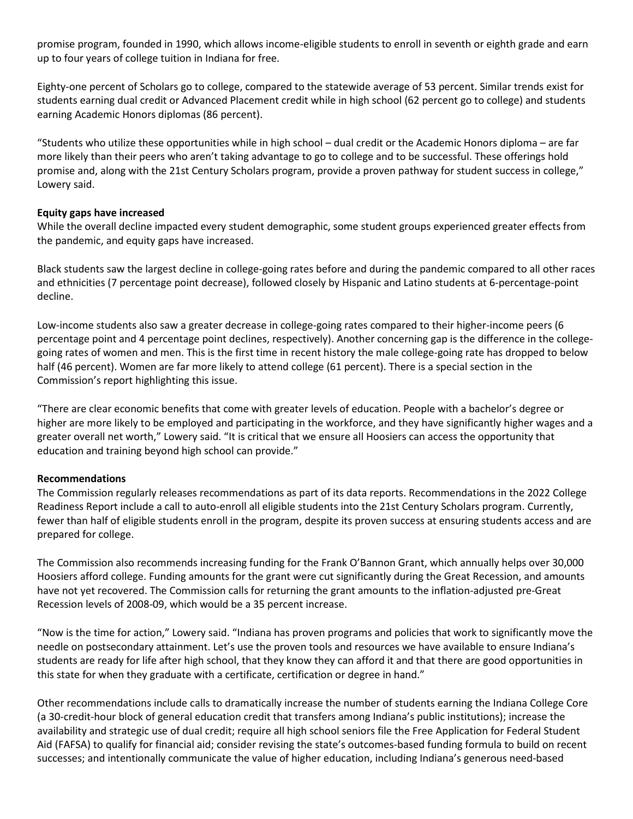promise program, founded in 1990, which allows income-eligible students to enroll in seventh or eighth grade and earn up to four years of college tuition in Indiana for free.

Eighty-one percent of Scholars go to college, compared to the statewide average of 53 percent. Similar trends exist for students earning dual credit or Advanced Placement credit while in high school (62 percent go to college) and students earning Academic Honors diplomas (86 percent).

"Students who utilize these opportunities while in high school – dual credit or the Academic Honors diploma – are far more likely than their peers who aren't taking advantage to go to college and to be successful. These offerings hold promise and, along with the 21st Century Scholars program, provide a proven pathway for student success in college," Lowery said.

#### **Equity gaps have increased**

While the overall decline impacted every student demographic, some student groups experienced greater effects from the pandemic, and equity gaps have increased.

Black students saw the largest decline in college-going rates before and during the pandemic compared to all other races and ethnicities (7 percentage point decrease), followed closely by Hispanic and Latino students at 6-percentage-point decline.

Low-income students also saw a greater decrease in college-going rates compared to their higher-income peers (6 percentage point and 4 percentage point declines, respectively). Another concerning gap is the difference in the collegegoing rates of women and men. This is the first time in recent history the male college-going rate has dropped to below half (46 percent). Women are far more likely to attend college (61 percent). There is a special section in the Commission's report highlighting this issue.

"There are clear economic benefits that come with greater levels of education. People with a bachelor's degree or higher are more likely to be employed and participating in the workforce, and they have significantly higher wages and a greater overall net worth," Lowery said. "It is critical that we ensure all Hoosiers can access the opportunity that education and training beyond high school can provide."

#### **Recommendations**

The Commission regularly releases recommendations as part of its data reports. Recommendations in the 2022 College Readiness Report include a call to auto-enroll all eligible students into the 21st Century Scholars program. Currently, fewer than half of eligible students enroll in the program, despite its proven success at ensuring students access and are prepared for college.

The Commission also recommends increasing funding for the Frank O'Bannon Grant, which annually helps over 30,000 Hoosiers afford college. Funding amounts for the grant were cut significantly during the Great Recession, and amounts have not yet recovered. The Commission calls for returning the grant amounts to the inflation-adjusted pre-Great Recession levels of 2008-09, which would be a 35 percent increase.

"Now is the time for action," Lowery said. "Indiana has proven programs and policies that work to significantly move the needle on postsecondary attainment. Let's use the proven tools and resources we have available to ensure Indiana's students are ready for life after high school, that they know they can afford it and that there are good opportunities in this state for when they graduate with a certificate, certification or degree in hand."

Other recommendations include calls to dramatically increase the number of students earning the Indiana College Core (a 30-credit-hour block of general education credit that transfers among Indiana's public institutions); increase the availability and strategic use of dual credit; require all high school seniors file the Free Application for Federal Student Aid (FAFSA) to qualify for financial aid; consider revising the state's outcomes-based funding formula to build on recent successes; and intentionally communicate the value of higher education, including Indiana's generous need-based